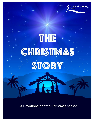

harbourshores

A Devotional for the Christmas Season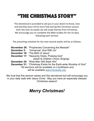# "The Christmas Story"

This devotional is provided to aid you in your desire to know, love and worship Jesus Christ more fully during this Christmas season. Over the next six weeks we will study themes from Christmas. We encourage you to complete the Bible studies for the six days following each sermon.

The preaching schedule for the next several weeks will be as follows:

**November 26:** "Prophecies Concerning the Messiah" **December 3:** "Immanuel, God With Us" **December 10:** "The Birth of Jesus" **December 17:** "Heavenly Hosts, Praising God" *(Adult & Children Choirs Singing)* **December 24:** "Wise Men Still Seek Him" **December 31:** "Christmas Exists for the Earth-wide Worship of God" *\*All sermons will be available on LiveStream and will be available www.hscaudio.org.*

We trust that this sermon series and this devotional tool will encourage you in your daily walk with Jesus Christ. May you have an especially blessed Christmas season!

# *Merry Christmas!*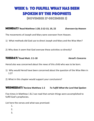## Week 1: TO FULFILL WHAT HAS BEEN SPOKEN BY THE PROPHETS

(NOVEMBER 27-DECEMBER 2)

#### **MONDAY** Read Matthew 1:20; 2:12-13, 19, 22 Overseen by Heaven

The movements of Joseph and Mary were overseen from Heaven.

- 1) What methods did God use to direct Joseph and Mary and the Wise Men?
- 2) Why does it seem that God oversaw these activities so directly?

#### TUESDAY/ Read Matt. 2:1-18 *Herod's Concerns*

Herod also was concerned about the news of this child who was to be born.

- 1) Why would Herod have been concerned about the question of the Wise Men in 1:2?
- 2) What in this chapter would support your conclusions?

#### WEDNESDAY/ Review Matthew 1-2 **To Fulfill What the Lord Had Spoken**

Five times in Matthew 1 & 2 we read that certain things were accomplished to fulfill God's prophecies.

List here the verses and what was promised:

- 1.
- 2.
- 3.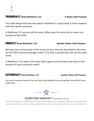### THURSdaY/ **Read Matthew 1:21** *A Name with Purpose*

This child whose birth was described in Matthew 1-2 was stated in these chapters with two specific purposes.

In Matthew 1:21 we are told His name. What does this name tell us about one purpose of the child?

#### **FRIDAY/** Read Matthew 1:21 Another Name with Purpose

We have seen one purpose of the arrival of Jesus that was described in His name. But the Old Testament passage (Isaiah 7:14) that is quoted does not use the same name. 

In Matthew 1:23, what is the name that is given and how does that point to the purpose of Jesus coming to earth?

#### SATURdaY/ **Read Matthew 1:21**  *Another Name with Purpose*

Can you list several reasons that you have to be thankful as we remember the birth of Jesus, God's Son?



All this took place to fulfill what the Lord had spoken by the prophet: "Behold, the virgin shall *conceive and bear a son, and they shall call his name Immanuel"* (which means, God with us).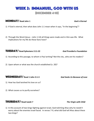## Week 2: Immanuel, God with us (December 4-10)

#### **MONDAY/** Read John 1 *God is Eternal*

- 1) If God is eternal, then what does John 1:1 mean when it says, "In the beginning"?
- 2) Through the Word (Jesus  $-$  John 1:14) all things were made and in Him was life. What implications for my life do these facts have?

#### TUESDAY/ Read Ephesians 2:11-22 *God Provided a Foundation*

- 1) According to this passage, to whom is Paul writing? Not the city...who are his readers?
- 2) Upon whom or what was the church established  $(v. 20)$ ?

#### WEDNESDAY/ Read 1 John 3:1-3 *God Seeks Us Because of Love*

- 1) How has God lavished his love on us?
- 2) What causes us to purify ourselves?

#### THURSDAY/ Read Isaiah 7 **THURSDAY** Read Isaiah 7

1) In this account of two kings fighting against Israel, God told King Ahaz why he needn't worry about the enemies Israel faced. In verses 7-9, what did God tell Ahaz about these two kings?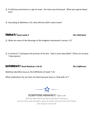- 2) A child was promised as a sign to Israel. His name was Immanuel. What was special about him?
- 3) According to Matthew 1:23, what did the child's name mean?

#### **FRIDAY/** Read Isaiah 9 *The Child Ruler*

- 1) What are some of the blessings of the Kingdom mentioned in verses 1-5?
- 2) In verses 6-7, God gives the promise of His Son. How is Jesus described? (There are at least 7 descriptors)

#### **SATURDAY/** Read Matthew 1:18-23 The Fulfillment

Matthew identifies Jesus as the fulfillment of Isaiah 7:14.

What implications for our lives are there because Jesus is "God with us"?



**SCRIPTURE MEMORY/** John 1:14

And the Word became flesh and dwelt among us, and we have seen his glory, glory as of the only Son from the Father, *full* of grace and truth.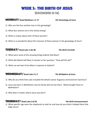# WEEK 3: THE BIRTH OF JESUS

(December 12-16)

#### **MONDAY** Read Matthew 1:1-17 The Genealogy of Jesus

- 1) Who are the four earliest men in this genealogy?
- 2) What four women are in this family listing?
- 3) What is unique about each of these women?
- 4) What is so wonderful about the inclusion of these women in the genealogy of Jesus?

### Tuesday/ **Read Luke 1:26-38** *The Birth Foretold*

- 1) What were some of the amazing things Gabriel told Mary?
- 2) What did Gabriel tell Mary in answer to her question, "How will this be?"
- 3) What can we learn from Mary's response to Gabriel?

#### **WEDNESDAY/** Read Luke 2:1-7 *The Birthplace of Jesus*

- 1) Why do you think that Luke included the details Caesar Augustus and Governor Quirinius?
- 2) Jesus was born in Bethlehem, but his family did not live there. What brought them to Bethlehem?
- 3) Why does it matter where Jesus was born?

#### **THURSDAY/** Read Luke 2:8-20 *THURSDAY/* Read Luke 2:8-20

1) What specific sign were the shepherds to look for and how do you think it helped them find baby Jesus?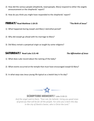- 2) How did the various people (shepherds, townspeople, Mary) respond to either the angelic announcement or the shepherds' report?
- 3) How do you think you might have responded to the shepherds' report?
- 1) What happened during Joseph and Mary's betrothal period?
- 2) Why did Joseph go ahead with his marriage to Mary?
- 3) Did Mary remain a perpetual virgin as taught by some religions?

### **SATURDAY** / Read Luke 2:21-40 *The Affirmation of Jesus*

- 1) What does Luke record about the naming of the baby?
- 2) What events occurred at the temple that must have encouraged Joseph & Mary?
- 3) In what ways was Jesus young life typical as a Jewish boy in his day?



**SCRIPTURE MEMORY/** Luke 2:10-11

And the angel said to them, "Fear not, for behold, I bring you good news of great joy that will be for all the people. For unto you is born this day *in the city of David a Savior, who is Christ the Lord."* 

Friday/ **Read Matthew 1:18-25 "The Birth of Jesus"**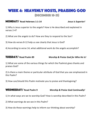## Week 4: HEAVENLY HOSTS, PRAISING GOD (December 18-23)

#### MondaY/ **Read Hebrews 1:1-14** *Jesus is Superior!*

1) Why is Jesus superior to the angels? How is He described and explained in verses 2-4?

2) What are the angels to do? How are they to respond to the Son?

3) How do verses 8-12 help us see clearly that Jesus is God?

4) According to verse 14, what additional work do the angels accomplish?

Tuesday/ **Read Psalm 89** *Worship & Praise God for Who He Is!*

1) What are some of the various things for which the Psalmist gives thanks and praises God?

2) Is there a main theme or particular attribute of God that you see emphasized in this Psalm?

3) How can/should this Psalm motivate you to praise and thanksgiving?

Wednesday/ **Read Psalm 9** *Worship & Praise God Continually!*

1) In what ways are we to worship God? How is worship described in this Psalm?

2) What warnings do we see in this Psalm?

3) How do these warnings help to inform our thinking about worship?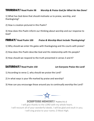#### ThursdaY/ **Read Psalm 98** *Worship & Praise God for What He Has Done!*

1) What has God done that should motivate us to praise, worship, and thanksgiving?

2) How is creation pictured in this Psalm?

3) How does this Psalm inform our thinking about worship and our response to God?

Friday/ **Read Psalm 100** *Praise & Worship Must Include Thanksgiving!*

1) Why should we enter His gates with thanksgiving and His courts with praise?

2) How does this Psalm describe God and His relationship with His people?

3) How should we respond to the truth presented in verses 3 and 4?

#### Saturday/ **Read Psalm 150** *Let Everyone Praise the Lord!*

- 1) According to verse 2, why should we praise the Lord?
- 2) In what ways is your life marked by praise and worship?
- 3) How can you encourage those around you to continually worship the Lord?



**SCRIPTURE MEMORY/ Psalms 9:1-2** I will give thanks to the LORD with my whole heart; I will recount all of your wonderful deeds. I will be glad and exult in you; I will sing praise to your name, O Most High.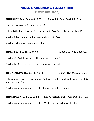### Week 5: WISE MEN STILL SEEK HIM

(Decebmer 25-30)

### MondaY/ **Read Exodus 4:18-23** *Many Reject and Do Not Seek the Lord*

- 1) According to verse 22, what is Israel?
- 2) How is the final plague a direct response to Egypt's sin of enslaving Israel?
- 3) What is Moses supposed to do when he gets to Egypt?
- 4) Who is with Moses to empower Him?

#### TUESdaY/ **Read Hosea 11:1-5** *God Rescues & Israel Rebels*

- 1) What did God do for Israel? How did Israel respond?
- 2) What has God done for us? How should we respond?

#### WEDNESdaY/ **Numbers 24:15-19** *A Ruler Will Rise from Israel*

1) Balaam was a wicked man and yet God used him to reveal truth. What does this teach us about God?

2) What do we learn about this ruler that will come from Israel?

#### THURSdaY/ **Read Micah 5:1-5** *God Reveals the Birth Place of the Messiah*

1) What do we learn about this ruler? What is He like? What will He do?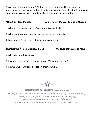2) We know from Matthew 2:1-12 that the Jews (and then Herod) came to understand the significance of Micah 5. Obviously, God is not afraid to let men and Satan know His plan. Was Herod able to alter or stop the plan of God?

### FRIdaY/ **Read Daniel 2** *Daniel Knows the True Source of Wisdom*

- 1) What did the king ask of his "wise men" (verses 1-9)?
- 2) What is ironic about their answer to the king in verse 11?
- 3) From verses 20-23, where does wisdom come from?

### SATURdaY/ **Read Matthew 2:1-12** *The Wise Men Come to Jesus*

- 1) Why was Herod troubled?
- 2) How did the wise men respond to Jesus? What did they do?
- 3) How can we learn from and follow their example?



**SCRIPTURE MEMORY/ Matthew 2:1-2** 

*Now after Jesus was born in Bethlehem of Judea in the days of Herod the king, behold, wise men from the east came to Jerusalem, saying,* "Where is he who has been born king of the Jews? For we saw his star when it rose and have come to worship him."